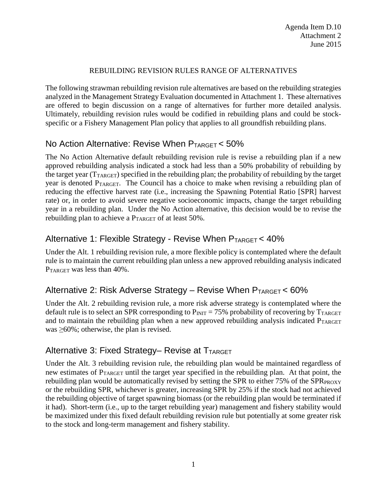#### REBUILDING REVISION RULES RANGE OF ALTERNATIVES

The following strawman rebuilding revision rule alternatives are based on the rebuilding strategies analyzed in the Management Strategy Evaluation documented in Attachment 1. These alternatives are offered to begin discussion on a range of alternatives for further more detailed analysis. Ultimately, rebuilding revision rules would be codified in rebuilding plans and could be stockspecific or a Fishery Management Plan policy that applies to all groundfish rebuilding plans.

### No Action Alternative: Revise When  $P_{TARGE} < 50\%$

The No Action Alternative default rebuilding revision rule is revise a rebuilding plan if a new approved rebuilding analysis indicated a stock had less than a 50% probability of rebuilding by the target year (TTARGET) specified in the rebuilding plan; the probability of rebuilding by the target year is denoted PTARGET. The Council has a choice to make when revising a rebuilding plan of reducing the effective harvest rate (i.e., increasing the Spawning Potential Ratio [SPR] harvest rate) or, in order to avoid severe negative socioeconomic impacts, change the target rebuilding year in a rebuilding plan. Under the No Action alternative, this decision would be to revise the rebuilding plan to achieve a PTARGET of at least 50%.

## Alternative 1: Flexible Strategy - Revise When  $P_{TARGE} < 40\%$

Under the Alt. 1 rebuilding revision rule, a more flexible policy is contemplated where the default rule is to maintain the current rebuilding plan unless a new approved rebuilding analysis indicated P<sub>TARGET</sub> was less than 40%.

### Alternative 2: Risk Adverse Strategy – Revise When  $P_{TARGE}$  < 60%

Under the Alt. 2 rebuilding revision rule, a more risk adverse strategy is contemplated where the default rule is to select an SPR corresponding to  $P_{\text{INT}} = 75\%$  probability of recovering by  $T_{\text{TARGE}}$ and to maintain the rebuilding plan when a new approved rebuilding analysis indicated  $P_{TARGET}$ was  $\geq 60\%$ ; otherwise, the plan is revised.

## Alternative 3: Fixed Strategy- Revise at TTARGET

Under the Alt. 3 rebuilding revision rule, the rebuilding plan would be maintained regardless of new estimates of PTARGET until the target year specified in the rebuilding plan. At that point, the rebuilding plan would be automatically revised by setting the SPR to either  $75\%$  of the SPR  $_{\text{PROXY}}$ or the rebuilding SPR, whichever is greater, increasing SPR by 25% if the stock had not achieved the rebuilding objective of target spawning biomass (or the rebuilding plan would be terminated if it had). Short-term (i.e., up to the target rebuilding year) management and fishery stability would be maximized under this fixed default rebuilding revision rule but potentially at some greater risk to the stock and long-term management and fishery stability.